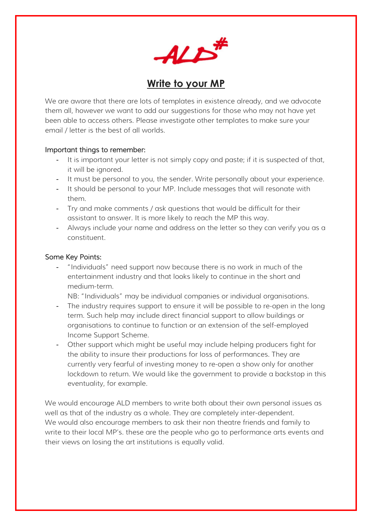

# **Write to your MP**

We are aware that there are lots of templates in existence already, and we advocate them all, however we want to add our suggestions for those who may not have yet been able to access others. Please investigate other templates to make sure your email / letter is the best of all worlds.

## Important things to remember:

- It is important your letter is not simply copy and paste; if it is suspected of that, it will be ignored.
- It must be personal to you, the sender. Write personally about your experience.
- It should be personal to your MP. Include messages that will resonate with them.
- Try and make comments / ask questions that would be difficult for their assistant to answer. It is more likely to reach the MP this way.
- Always include your name and address on the letter so they can verify you as a constituent.

# Some Key Points:

- "Individuals" need support now because there is no work in much of the entertainment industry and that looks likely to continue in the short and medium-term.

NB: "Individuals" may be individual companies or individual organisations.

- The industry requires support to ensure it will be possible to re-open in the long term. Such help may include direct financial support to allow buildings or organisations to continue to function or an extension of the self-employed Income Support Scheme.
- Other support which might be useful may include helping producers fight for the ability to insure their productions for loss of performances. They are currently very fearful of investing money to re-open a show only for another lockdown to return. We would like the government to provide a backstop in this eventuality, for example.

We would encourage ALD members to write both about their own personal issues as well as that of the industry as a whole. They are completely inter-dependent. We would also encourage members to ask their non theatre friends and family to write to their local MP's. these are the people who go to performance arts events and their views on losing the art institutions is equally valid.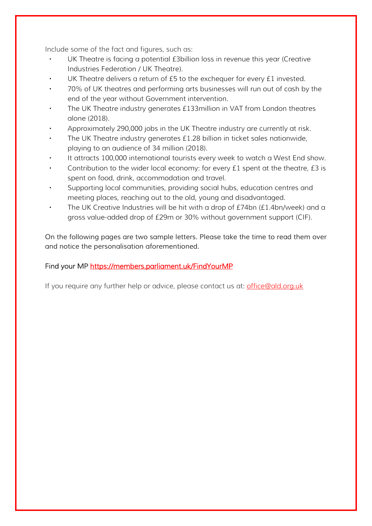Include some of the fact and figures, such as:

- UK Theatre is facing a potential *£3billion loss in revenue this year (Creative* Industries Federation / UK Theatre).
- UK Theatre delivers a return of £5 to the exchequer for every £1 invested.
- 70% of UK theatres and performing arts businesses will run out of cash by the end of the year without Government intervention.
- The UK Theatre industry generates £133million in VAT from London theatres alone (2018).
- Approximately 290,000 jobs in the UK Theatre industry are currently at risk.
- The UK Theatre industry generates £1.28 billion in ticket sales nationwide, playing to an audience of 34 million (2018).
- It attracts 100,000 international tourists every week to watch a West End show.
- Contribution to the wider local economy: for every £1 spent at the theatre, £3 is spent on food, drink, accommodation and travel.
- Supporting local communities, providing social hubs, education centres and meeting places, reaching out to the old, young and disadvantaged.
- The UK Creative Industries will be hit with a drop of £74bn (£1.4bn/week) and a gross value-added drop of £29m or 30% without government support (CIF).

*On the following pages are two sample letters. Please take the time to read them over and notice the personalisation aforementioned.*

# Find your MP https://members.parliament.uk/FindYourMP

If you require any further help or advice, please contact us at: **office@ald.org.uk**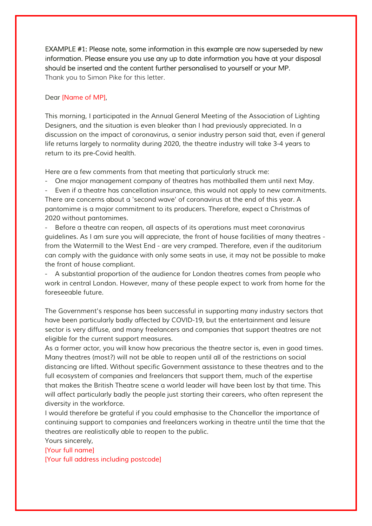EXAMPLE #1: Please note, some information in this example are now superseded by new information. Please ensure you use any up to date information you have at your disposal should be inserted and the content further personalised to yourself or your MP. Thank you to Simon Pike for this letter.

#### *Dear [Name of MP],*

*This morning, I participated in the Annual General Meeting of the Association of Lighting Designers, and the situation is even bleaker than I had previously appreciated. In a*  discussion on the impact of coronavirus, a senior industry person said that, even if general *life returns largely to normality during 2020, the theatre industry will take 3-4 years to return to its pre-Covid health.*

*Here are a few comments from that meeting that particularly struck me:*

*- One major management company of theatres has mothballed them until next May.*

*- Even if a theatre has cancellation insurance, this would not apply to new commitments. There are concerns about a 'second wave' of coronavirus at the end of this year. A pantomime is a major commitment to its producers. Therefore, expect a Christmas of 2020 without pantomimes.*

*- Before a theatre can reopen, all aspects of its operations must meet coronavirus guidelines. As I am sure you will appreciate, the front of house facilities of many theatres from the Watermill to the West End - are very cramped. Therefore, even if the auditorium can comply with the guidance with only some seats in use, it may not be possible to make the front of house compliant.*

*- A substantial proportion of the audience for London theatres comes from people who work in central London. However, many of these people expect to work from home for the foreseeable future.*

*The Government's response has been successful in supporting many industry sectors that have been particularly badly affected by COVID-19, but the entertainment and leisure sector is very diffuse, and many freelancers and companies that support theatres are not eligible for the current support measures.*

*As a former actor, you will know how precarious the theatre sector is, even in good times. Many theatres (most?) will not be able to reopen until all of the restrictions on social distancing are lifted. Without specific Government assistance to these theatres and to the*  full ecosystem of companies and freelancers that support them, much of the expertise *that makes the British Theatre scene a world leader will have been lost by that time. This will affect particularly badly the people just starting their careers, who often represent the diversity in the workforce.*

*I would therefore be grateful if you could emphasise to the Chancellor the importance of continuing support to companies and freelancers working in theatre until the time that the theatres are realistically able to reopen to the public.*

*Yours sincerely, [Your full name] [Your full address including postcode]*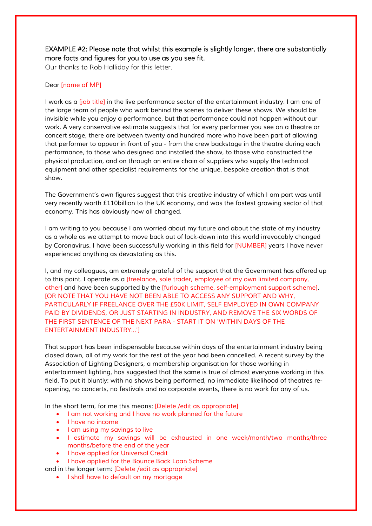## EXAMPLE #2: Please note that whilst this example is slightly longer, there are substantially more facts and figures for you to use as you see fit.

Our thanks to Rob Halliday for this letter.

#### *Dear [name of MP]*

*I* work as a *[job title]* in the live performance sector of the entertainment industry. I am one of *the large team of people who work behind the scenes to deliver these shows. We should be invisible while you enjoy a performance, but that performance could not happen without our work. A very conservative estimate suggests that for every performer you see on a theatre or concert stage, there are between twenty and hundred more who have been part of allowing that performer to appear in front of you - from the crew backstage in the theatre during each performance, to those who designed and installed the show, to those who constructed the physical production, and on through an entire chain of suppliers who supply the technical equipment and other specialist requirements for the unique, bespoke creation that is that show.*

*The Government's own figures suggest that this creative industry of which I am part was until very recently worth £110billion to the UK economy, and was the fastest growing sector of that economy. This has obviously now all changed.*

*I am writing to you because I am worried about my future and about the state of my industry as a whole as we attempt to move back out of lock-down into this world irrevocably changed by Coronavirus. I have been successfully working in this field for [NUMBER] years I have never experienced anything as devastating as this.*

*I, and my colleagues, am extremely grateful of the support that the Government has offered up to this point. I operate as a [freelance, sole trader, employee of my own limited company, other] and have been supported by the [furlough scheme, self-employment support scheme]. [OR NOTE THAT YOU HAVE NOT BEEN ABLE TO ACCESS ANY SUPPORT AND WHY, PARTICULARLY IF FREELANCE OVER THE £50K LIMIT, SELF EMPLOYED IN OWN COMPANY*  **PAID BY DIVIDENDS, OR JUST STARTING IN INDUSTRY, AND REMOVE THE SIX WORDS OF** *THE FIRST SENTENCE OF THE NEXT PARA - START IT ON 'WITHIN DAYS OF THE ENTERTAINMENT INDUSTRY...']*

*That support has been indispensable because within days of the entertainment industry being closed down, all of my work for the rest of the year had been cancelled. A recent survey by the Association of Lighting Designers, a membership organisation for those working in entertainment lighting, has suggested that the same is true of almost everyone working in this field. To put it bluntly: with no shows being performed, no immediate likelihood of theatres reopening, no concerts, no festivals and no corporate events, there is no work for any of us.*

*In the short term, for me this means: [Delete /edit as appropriate]*

- *I am not working and I have no work planned for the future*
- *I have no income*
- *I am using my savings to live*
- *I estimate my savings will be exhausted in one week/month/two months/three months/before the end of the year*
- *I have applied for Universal Credit*
- *I have applied for the Bounce Back Loan Scheme*
- *and in the longer term: [Delete /edit as appropriate]*
	- *I shall have to default on my mortgage*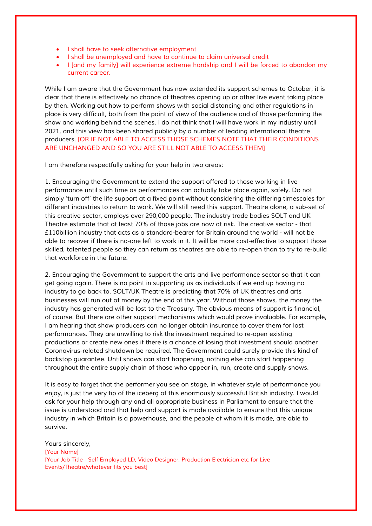- *I shall have to seek alternative employment*
- *I shall be unemployed and have to continue to claim universal credit*
- *I [and my family] will experience extreme hardship and I will be forced to abandon my current career.*

*While I am aware that the Government has now extended its support schemes to October, it is clear that there is effectively no chance of theatres opening up or other live event taking place*  by then. Working out how to perform shows with social distancing and other regulations in *place is very difficult, both from the point of view of the audience and of those performing the show and working behind the scenes. I do not think that I will have work in my industry until 2021, and this view has been shared publicly by a number of leading international theatre producers. [OR IF NOT ABLE TO ACCESS THOSE SCHEMES NOTE THAT THEIR CONDITIONS ARE UNCHANGED AND SO YOU ARE STILL NOT ABLE TO ACCESS THEM]*

*I am therefore respectfully asking for your help in two areas:*

*1. Encouraging the Government to extend the support offered to those working in live performance until such time as performances can actually take place again, safely. Do not simply 'turn off' the life support at a fixed point without considering the differing timescales for different industries to return to work. We will still need this support. Theatre alone, a sub-set of this creative sector, employs over 290,000 people. The industry trade bodies SOLT and UK Theatre estimate that at least 70% of those jobs are now at risk. The creative sector - that £110billion industry that acts as a standard-bearer for Britain around the world - will not be able to recover if there is no-one left to work in it. It will be more cost-effective to support those skilled, talented people so they can return as theatres are able to re-open than to try to re-build that workforce in the future.*

*2. Encouraging the Government to support the arts and live performance sector so that it can get going again. There is no point in supporting us as individuals if we end up having no industry to go back to. SOLT/UK Theatre is predicting that 70% of UK theatres and arts businesses will run out of money by the end of this year. Without those shows, the money the industry has generated will be lost to the Treasury. The obvious means of support is financial, of course. But there are other support mechanisms which would prove invaluable. For example, I am hearing that show producers can no longer obtain insurance to cover them for lost performances. They are unwilling to risk the investment required to re-open existing productions or create new ones if there is a chance of losing that investment should another Coronavirus-related shutdown be required. The Government could surely provide this kind of backstop guarantee. Until shows can start happening, nothing else can start happening throughout the entire supply chain of those who appear in, run, create and supply shows.*

*It is easy to forget that the performer you see on stage, in whatever style of performance you enjoy, is just the very tip of the iceberg of this enormously successful British industry. I would ask for your help through any and all appropriate business in Parliament to ensure that the issue is understood and that help and support is made available to ensure that this unique industry in which Britain is a powerhouse, and the people of whom it is made, are able to survive.*

*Yours sincerely, [Your Name] [Your Job Title - Self Employed LD, Video Designer, Production Electrician etc for Live Events/Theatre/whatever fits you best]*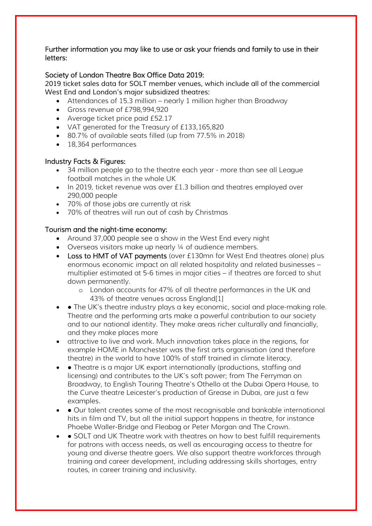### Further information you may like to use or ask your friends and family to use in their letters:

# Society of London Theatre Box Office Data 2019:

*2019 ticket sales data for SOLT member venues, which include all of the commercial West End and London's major subsidized theatres:* 

- Attendances of 15.3 million nearly 1 million higher than Broadway
- Gross revenue of £798,994,920
- Average ticket price paid £52.17
- VAT generated for the Treasury of £133,165,820
- 80.7% of available seats filled (up from 77.5% in 2018)
- 18,364 performances

# Industry Facts & Figures:

- 34 million people go to the theatre each year more than see all League football matches in the whole UK
- In 2019, ticket revenue was over £1.3 billion and theatres employed over 290,000 people
- 70% of those jobs are currently at risk
- 70% of theatres will run out of cash by Christmas

# Tourism and the night-time economy:

- Around 37,000 people see a show in the West End every night
- Overseas visitors make up nearly 1/4 of audience members.
- Loss to HMT of VAT payments (over £130mn for West End theatres alone) plus enormous economic impact on all related hospitality and related businesses – multiplier estimated at 5-6 times in major cities – if theatres are forced to shut down permanently.
	- o London accounts for 47% of all theatre performances in the UK and 43% of theatre venues across England[1]
- ● The UK's theatre industry plays a key economic, social and place-making role. Theatre and the performing arts make a powerful contribution to our society and to our national identity. They make areas richer culturally and financially, and they make places more
- attractive to live and work. Much innovation takes place in the regions, for example HOME in Manchester was the first arts organisation (and therefore theatre) in the world to have 100% of staff trained in climate literacy.
- • Theatre is a major UK export internationally (productions, staffing and licensing) and contributes to the UK's soft power; from The Ferryman on Broadway, to English Touring Theatre's Othello at the Dubai Opera House, to the Curve theatre Leicester's production of Grease in Dubai, are just a few examples.
- • Our talent creates some of the most recognisable and bankable international hits in film and TV, but all the initial support happens in theatre, for instance Phoebe Waller-Bridge and Fleabag or Peter Morgan and The Crown.
- ● SOLT and UK Theatre work with theatres on how to best fulfill requirements for patrons with access needs, as well as encouraging access to theatre for young and diverse theatre goers. We also support theatre workforces through training and career development, including addressing skills shortages, entry routes, in career training and inclusivity.